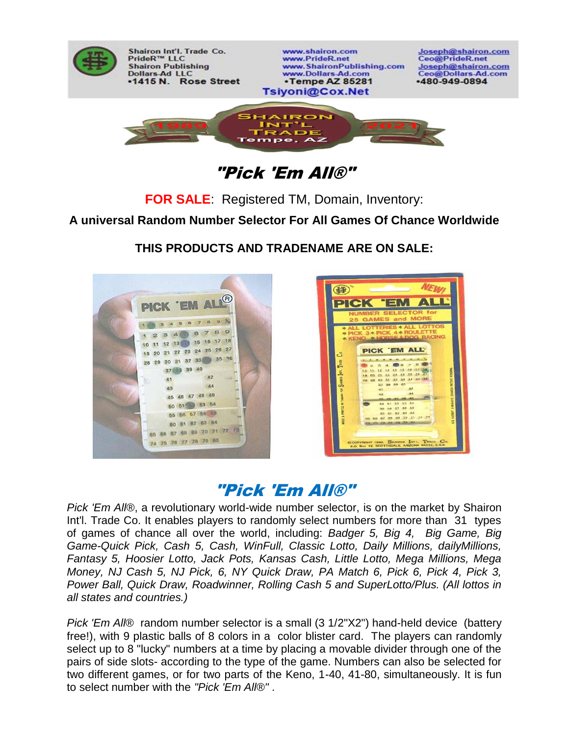

Shairon Int'l. Trade Co. PrideR™ LLC **Shairon Publishing Dollars-Ad LLC** •1415 N. Rose Street

www.shairon.com www.PrideR.net www.ShaironPublishing.com www.Dollars-Ad.com •Tempe AZ 85281 Tsiyoni@Cox.Net

Joseph@shairon.com Ceo@PrideR.net Joseph@shairon.com Ceo@Dollars-Ad.com  $-480 - 949 - 0894$ 



"Pick 'Em All®"

**FOR SALE**: Registered TM, Domain, Inventory:

**A universal Random Number Selector For All Games Of Chance Worldwide**

**THIS PRODUCTS AND TRADENAME ARE ON SALE:**





# "Pick 'Em All®"

*Pick 'Em All*®, a revolutionary world-wide number selector, is on the market by Shairon Int'l. Trade Co. It enables players to randomly select numbers for more than 31 types of games of chance all over the world, including: *Badger 5, Big 4, Big Game, Big Game-Quick Pick, Cash 5, Cash, WinFull, Classic Lotto, Daily Millions, dailyMillions, Fantasy 5, Hoosier Lotto, Jack Pots, Kansas Cash, Little Lotto, Mega Millions, Mega Money, NJ Cash 5, NJ Pick, 6, NY Quick Draw, PA Match 6, Pick 6, Pick 4, Pick 3, Power Ball, Quick Draw, Roadwinner, Rolling Cash 5 and SuperLotto/Plus. (All lottos in all states and countries.)*

*Pick 'Em AII*® random number selector is a small (3 1/2"X2") hand-held device (battery free!), with 9 plastic balls of 8 colors in a color blister card. The players can randomly select up to 8 "lucky" numbers at a time by placing a movable divider through one of the pairs of side slots- according to the type of the game. Numbers can also be selected for two different games, or for two parts of the Keno, 1-40, 41-80, simultaneously. It is fun to select number with the *"Pick 'Em All®"* .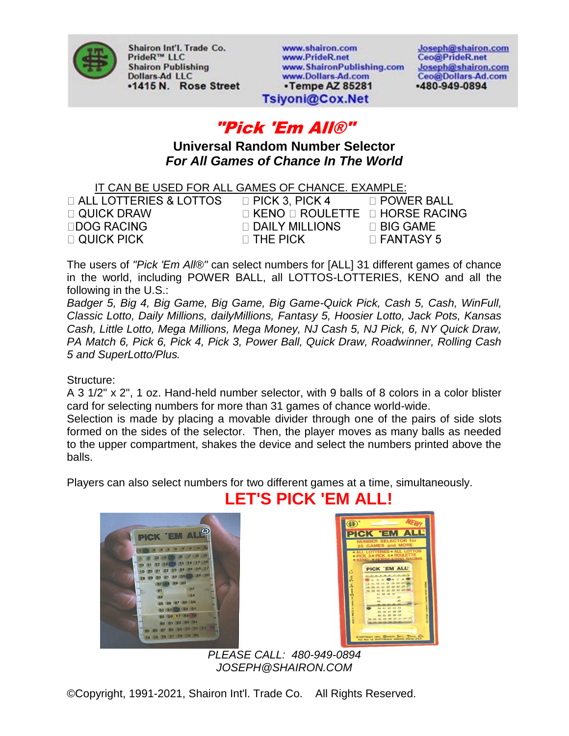

Shairon Int'l. Trade Co. PrideR™ LLC **Shairon Publishing Dollars-Ad LLC** •1415 N. Rose Street www.shairon.com www.PrideR.net www.ShaironPublishing.com www.Dollars-Ad.com •Tempe AZ 85281

Joseph@shairon.com Ceo@PrideR.net Joseph@shairon.com Ceo@Dollars-Ad.com -480-949-0894

### Tsiyoni@Cox.Net

## "Pick 'Em All®"

**Universal Random Number Selector** *For All Games of Chance In The World*

IT CAN BE USED FOR ALL GAMES OF CHANCE. EXAMPLE:

| $\Box$ ALL LOTTERIES & LOTTOS | $\Box$ PICK 3, PICK 4                           | □ POWER BALL     |
|-------------------------------|-------------------------------------------------|------------------|
| $\Box$ QUICK DRAW             | $\Box$ KENO $\Box$ ROULETTE $\Box$ HORSE RACING |                  |
| $\Box$ DOG RACING             | $\Box$ DAILY MILLIONS                           | $\Box$ BIG GAME. |
| $\Box$ QUICK PICK             | $\Box$ THE PICK                                 | $\Box$ FANTASY 5 |
|                               |                                                 |                  |

The users of *"Pick 'Em All®"* can select numbers for [ALL] 31 different games of chance in the world, including POWER BALL, all LOTTOS-LOTTERIES, KENO and all the following in the U.S.:

*Badger 5, Big 4, Big Game, Big Game, Big Game-Quick Pick, Cash 5, Cash, WinFull, Classic Lotto, Daily Millions, dailyMillions, Fantasy 5, Hoosier Lotto, Jack Pots, Kansas Cash, Little Lotto, Mega Millions, Mega Money, NJ Cash 5, NJ Pick, 6, NY Quick Draw, PA Match 6, Pick 6, Pick 4, Pick 3, Power Ball, Quick Draw, Roadwinner, Rolling Cash 5 and SuperLotto/Plus.*

Structure:

A 3 1/2" x 2", 1 oz. Hand-held number selector, with 9 balls of 8 colors in a color blister card for selecting numbers for more than 31 games of chance world-wide.

Selection is made by placing a movable divider through one of the pairs of side slots formed on the sides of the selector. Then, the player moves as many balls as needed to the upper compartment, shakes the device and select the numbers printed above the balls.

**LET'S PICK 'EM ALL!**

Players can also select numbers for two different games at a time, simultaneously.





 *PLEASE CALL: 480-949-0894 JOSEPH@SHAIRON.COM*

©Copyright, 1991-2021, Shairon Int'l. Trade Co. All Rights Reserved.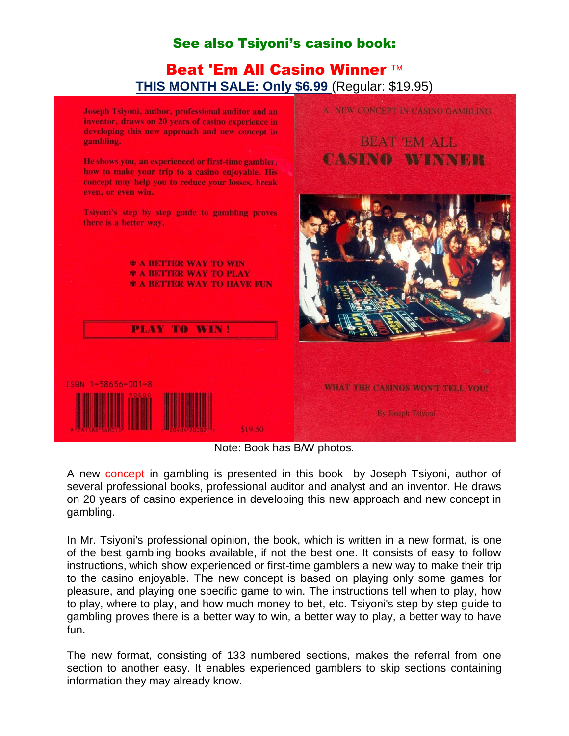## See also Tsiyoni's casino book:

### Beat 'Em All Casino Winner ™ **THIS MONTH SALE: Only \$6.99** (Regular: \$19.95)



Note: Book has B/W photos.

A new concept in gambling is presented in this book by Joseph Tsiyoni, author of several professional books, professional auditor and analyst and an inventor. He draws on 20 years of casino experience in developing this new approach and new concept in gambling.

In Mr. Tsiyoni's professional opinion, the book, which is written in a new format, is one of the best gambling books available, if not the best one. It consists of easy to follow instructions, which show experienced or first-time gamblers a new way to make their trip to the casino enjoyable. The new concept is based on playing only some games for pleasure, and playing one specific game to win. The instructions tell when to play, how to play, where to play, and how much money to bet, etc. Tsiyoni's step by step guide to gambling proves there is a better way to win, a better way to play, a better way to have fun.

The new format, consisting of 133 numbered sections, makes the referral from one section to another easy. It enables experienced gamblers to skip sections containing information they may already know.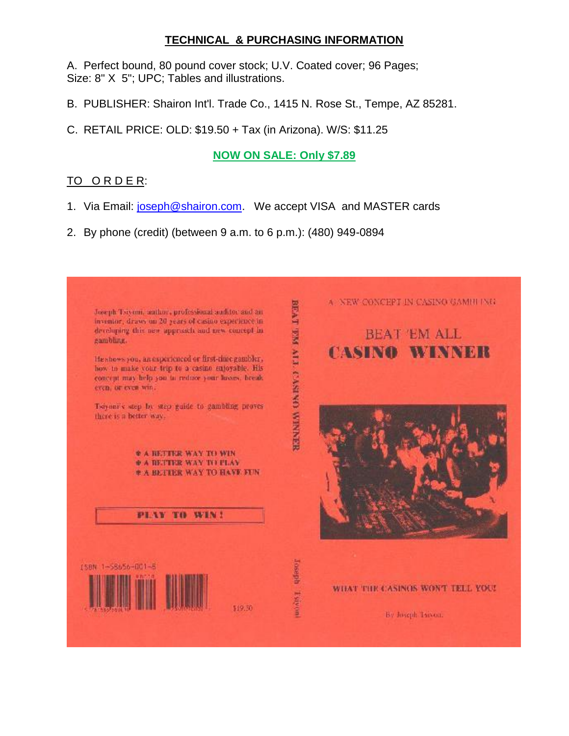#### **TECHNICAL & PURCHASING INFORMATION**

A. Perfect bound, 80 pound cover stock; U.V. Coated cover; 96 Pages; Size: 8" X 5"; UPC; Tables and illustrations.

- B. PUBLISHER: Shairon Int'l. Trade Co., 1415 N. Rose St., Tempe, AZ 85281.
- C. RETAIL PRICE: OLD: \$19.50 + Tax (in Arizona). W/S: \$11.25

#### **NOW ON SALE: Only \$7.89**

#### TO ORDER:

- 1. Via Email: [joseph@shairon.com.](mailto:joseph@shairon.com) We accept VISA and MASTER cards
- 2. By phone (credit) (between 9 a.m. to 6 p.m.): (480) 949-0894